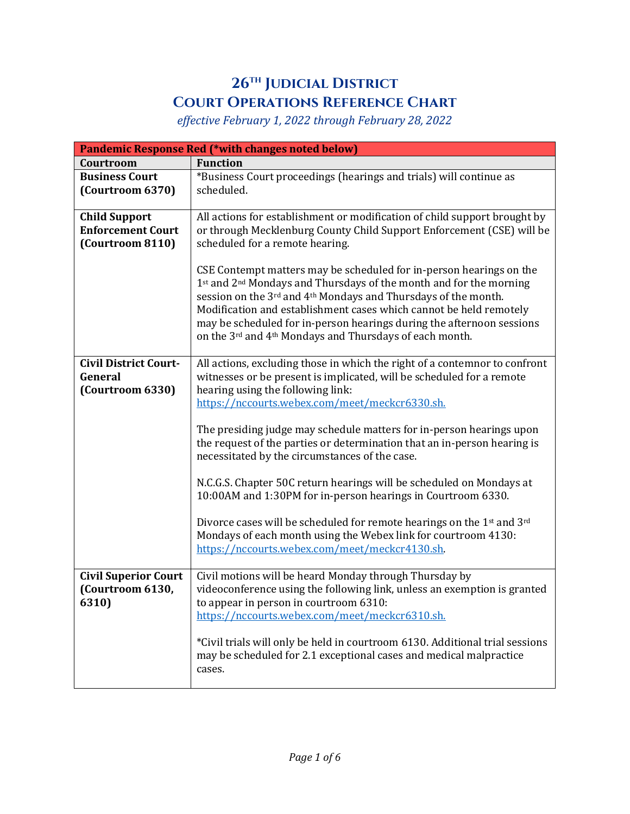## **26th Judicial District Court Operations Reference Chart**

*effective February 1, 2022 through February 28, 2022*

| <b>Pandemic Response Red (*with changes noted below)</b>             |                                                                                                                                                                                                                                                                                                                                                                                                                                   |  |
|----------------------------------------------------------------------|-----------------------------------------------------------------------------------------------------------------------------------------------------------------------------------------------------------------------------------------------------------------------------------------------------------------------------------------------------------------------------------------------------------------------------------|--|
| Courtroom                                                            | <b>Function</b>                                                                                                                                                                                                                                                                                                                                                                                                                   |  |
| <b>Business Court</b><br>(Courtroom 6370)                            | *Business Court proceedings (hearings and trials) will continue as<br>scheduled.                                                                                                                                                                                                                                                                                                                                                  |  |
| <b>Child Support</b><br><b>Enforcement Court</b><br>(Courtroom 8110) | All actions for establishment or modification of child support brought by<br>or through Mecklenburg County Child Support Enforcement (CSE) will be<br>scheduled for a remote hearing.                                                                                                                                                                                                                                             |  |
|                                                                      | CSE Contempt matters may be scheduled for in-person hearings on the<br>1st and 2 <sup>nd</sup> Mondays and Thursdays of the month and for the morning<br>session on the 3rd and 4th Mondays and Thursdays of the month.<br>Modification and establishment cases which cannot be held remotely<br>may be scheduled for in-person hearings during the afternoon sessions<br>on the 3rd and 4th Mondays and Thursdays of each month. |  |
| <b>Civil District Court-</b><br>General<br>(Courtroom 6330)          | All actions, excluding those in which the right of a contemnor to confront<br>witnesses or be present is implicated, will be scheduled for a remote<br>hearing using the following link:<br>https://nccourts.webex.com/meet/meckcr6330.sh.                                                                                                                                                                                        |  |
|                                                                      | The presiding judge may schedule matters for in-person hearings upon<br>the request of the parties or determination that an in-person hearing is<br>necessitated by the circumstances of the case.                                                                                                                                                                                                                                |  |
|                                                                      | N.C.G.S. Chapter 50C return hearings will be scheduled on Mondays at<br>10:00AM and 1:30PM for in-person hearings in Courtroom 6330.                                                                                                                                                                                                                                                                                              |  |
|                                                                      | Divorce cases will be scheduled for remote hearings on the 1 <sup>st</sup> and 3 <sup>rd</sup><br>Mondays of each month using the Webex link for courtroom 4130:<br>https://nccourts.webex.com/meet/meckcr4130.sh.                                                                                                                                                                                                                |  |
| <b>Civil Superior Court</b><br>(Courtroom 6130,<br>6310)             | Civil motions will be heard Monday through Thursday by<br>videoconference using the following link, unless an exemption is granted<br>to appear in person in courtroom 6310:<br>https://nccourts.webex.com/meet/meckcr6310.sh.                                                                                                                                                                                                    |  |
|                                                                      | *Civil trials will only be held in courtroom 6130. Additional trial sessions<br>may be scheduled for 2.1 exceptional cases and medical malpractice<br>cases.                                                                                                                                                                                                                                                                      |  |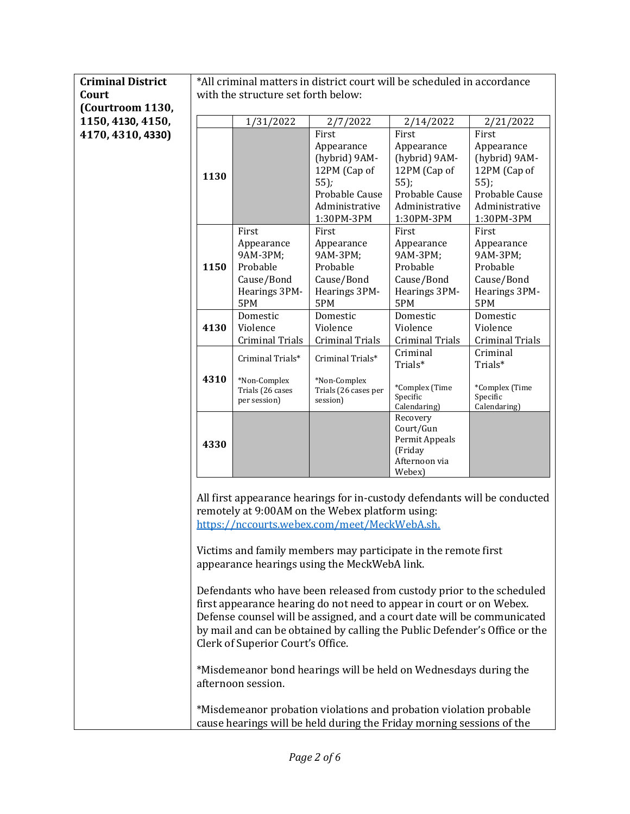| <b>Criminal District</b> | *All criminal matters in district court will be scheduled in accordance |                                    |                                                                         |                                    |                                                                            |
|--------------------------|-------------------------------------------------------------------------|------------------------------------|-------------------------------------------------------------------------|------------------------------------|----------------------------------------------------------------------------|
| Court                    | with the structure set forth below:                                     |                                    |                                                                         |                                    |                                                                            |
| (Courtroom 1130,         |                                                                         |                                    |                                                                         |                                    |                                                                            |
| 1150, 4130, 4150,        |                                                                         | 1/31/2022                          | 2/7/2022                                                                | 2/14/2022                          | 2/21/2022                                                                  |
| 4170, 4310, 4330)        |                                                                         |                                    | First                                                                   | First                              | First                                                                      |
|                          |                                                                         |                                    | Appearance                                                              | Appearance                         | Appearance                                                                 |
|                          |                                                                         |                                    | (hybrid) 9AM-                                                           | (hybrid) 9AM-                      | (hybrid) 9AM-                                                              |
|                          |                                                                         |                                    | 12PM (Cap of                                                            | 12PM (Cap of                       | 12PM (Cap of                                                               |
|                          | 1130                                                                    |                                    | $55$ );                                                                 | $55$ );                            | $55$ );                                                                    |
|                          |                                                                         |                                    | Probable Cause                                                          | Probable Cause                     | Probable Cause                                                             |
|                          |                                                                         |                                    | Administrative                                                          | Administrative                     | Administrative                                                             |
|                          |                                                                         |                                    | 1:30PM-3PM                                                              | 1:30PM-3PM                         | 1:30PM-3PM                                                                 |
|                          |                                                                         | First                              | First                                                                   | First                              | First                                                                      |
|                          |                                                                         | Appearance                         | Appearance                                                              | Appearance                         | Appearance                                                                 |
|                          |                                                                         | 9AM-3PM;                           | 9AM-3PM;                                                                | 9AM-3PM;                           | 9AM-3PM;                                                                   |
|                          | 1150                                                                    | Probable                           | Probable                                                                | Probable                           | Probable                                                                   |
|                          |                                                                         | Cause/Bond                         | Cause/Bond                                                              | Cause/Bond                         | Cause/Bond                                                                 |
|                          |                                                                         | Hearings 3PM-                      | Hearings 3PM-                                                           | Hearings 3PM-                      | Hearings 3PM-                                                              |
|                          |                                                                         | 5PM                                | 5PM                                                                     | 5PM                                | 5PM                                                                        |
|                          |                                                                         | Domestic                           | Domestic                                                                | Domestic                           | Domestic                                                                   |
|                          | 4130                                                                    | Violence<br><b>Criminal Trials</b> | Violence<br><b>Criminal Trials</b>                                      | Violence<br><b>Criminal Trials</b> | Violence<br><b>Criminal Trials</b>                                         |
|                          |                                                                         |                                    |                                                                         | Criminal                           | Criminal                                                                   |
|                          |                                                                         | Criminal Trials*                   | Criminal Trials*                                                        | Trials*                            | Trials*                                                                    |
|                          | 4310                                                                    |                                    |                                                                         |                                    |                                                                            |
|                          |                                                                         | *Non-Complex<br>Trials (26 cases   | *Non-Complex<br>Trials (26 cases per                                    | *Complex (Time                     | *Complex (Time                                                             |
|                          |                                                                         | per session)                       | session)                                                                | Specific                           | Specific                                                                   |
|                          |                                                                         |                                    |                                                                         | Calendaring)                       | Calendaring)                                                               |
|                          |                                                                         |                                    |                                                                         | Recovery<br>Court/Gun              |                                                                            |
|                          |                                                                         |                                    |                                                                         | Permit Appeals                     |                                                                            |
|                          | 4330                                                                    |                                    |                                                                         | (Friday                            |                                                                            |
|                          |                                                                         |                                    |                                                                         | Afternoon via                      |                                                                            |
|                          |                                                                         |                                    |                                                                         | Webex)                             |                                                                            |
|                          |                                                                         |                                    |                                                                         |                                    |                                                                            |
|                          |                                                                         |                                    |                                                                         |                                    | All first appearance hearings for in-custody defendants will be conducted  |
|                          |                                                                         |                                    | remotely at 9:00AM on the Webex platform using:                         |                                    |                                                                            |
|                          |                                                                         |                                    | https://nccourts.webex.com/meet/MeckWebA.sh.                            |                                    |                                                                            |
|                          |                                                                         |                                    |                                                                         |                                    |                                                                            |
|                          |                                                                         |                                    | Victims and family members may participate in the remote first          |                                    |                                                                            |
|                          |                                                                         |                                    | appearance hearings using the MeckWebA link.                            |                                    |                                                                            |
|                          |                                                                         |                                    |                                                                         |                                    |                                                                            |
|                          |                                                                         |                                    | Defendants who have been released from custody prior to the scheduled   |                                    |                                                                            |
|                          |                                                                         |                                    | first appearance hearing do not need to appear in court or on Webex.    |                                    |                                                                            |
|                          |                                                                         |                                    | Defense counsel will be assigned, and a court date will be communicated |                                    |                                                                            |
|                          |                                                                         |                                    |                                                                         |                                    | by mail and can be obtained by calling the Public Defender's Office or the |
|                          | Clerk of Superior Court's Office.                                       |                                    |                                                                         |                                    |                                                                            |
|                          | *Misdemeanor bond hearings will be held on Wednesdays during the        |                                    |                                                                         |                                    |                                                                            |
|                          |                                                                         |                                    |                                                                         |                                    |                                                                            |
|                          | afternoon session.                                                      |                                    |                                                                         |                                    |                                                                            |
|                          |                                                                         |                                    |                                                                         |                                    |                                                                            |
|                          |                                                                         |                                    | *Misdemeanor probation violations and probation violation probable      |                                    |                                                                            |
|                          |                                                                         |                                    | cause hearings will be held during the Friday morning sessions of the   |                                    |                                                                            |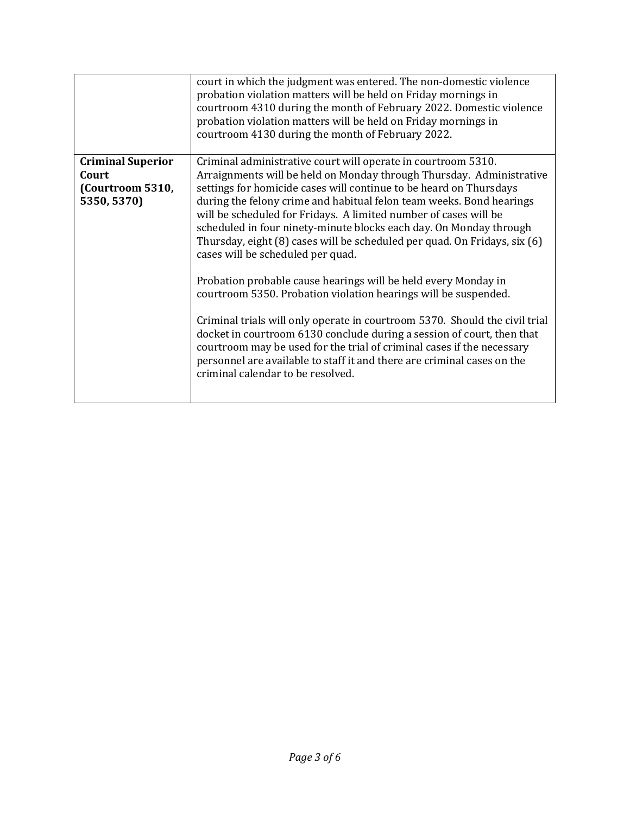|                                                                      | court in which the judgment was entered. The non-domestic violence<br>probation violation matters will be held on Friday mornings in<br>courtroom 4310 during the month of February 2022. Domestic violence<br>probation violation matters will be held on Friday mornings in<br>courtroom 4130 during the month of February 2022.                                                                                                                                                                                                                                                                                                                                                                                                                                                                                                                                                                                                                                                                                                      |
|----------------------------------------------------------------------|-----------------------------------------------------------------------------------------------------------------------------------------------------------------------------------------------------------------------------------------------------------------------------------------------------------------------------------------------------------------------------------------------------------------------------------------------------------------------------------------------------------------------------------------------------------------------------------------------------------------------------------------------------------------------------------------------------------------------------------------------------------------------------------------------------------------------------------------------------------------------------------------------------------------------------------------------------------------------------------------------------------------------------------------|
| <b>Criminal Superior</b><br>Court<br>(Courtroom 5310,<br>5350, 5370) | Criminal administrative court will operate in courtroom 5310.<br>Arraignments will be held on Monday through Thursday. Administrative<br>settings for homicide cases will continue to be heard on Thursdays<br>during the felony crime and habitual felon team weeks. Bond hearings<br>will be scheduled for Fridays. A limited number of cases will be<br>scheduled in four ninety-minute blocks each day. On Monday through<br>Thursday, eight (8) cases will be scheduled per quad. On Fridays, six (6)<br>cases will be scheduled per quad.<br>Probation probable cause hearings will be held every Monday in<br>courtroom 5350. Probation violation hearings will be suspended.<br>Criminal trials will only operate in courtroom 5370. Should the civil trial<br>docket in courtroom 6130 conclude during a session of court, then that<br>courtroom may be used for the trial of criminal cases if the necessary<br>personnel are available to staff it and there are criminal cases on the<br>criminal calendar to be resolved. |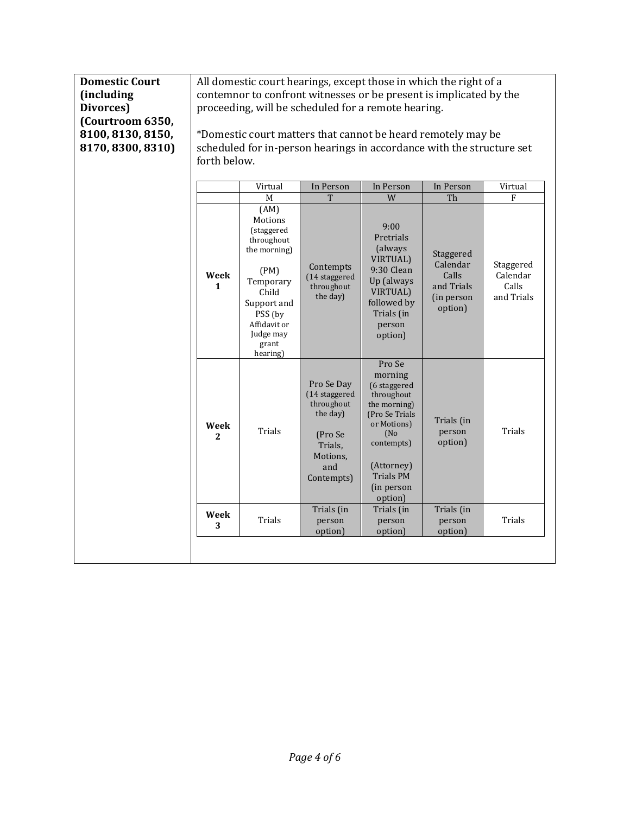| <b>Domestic Court</b><br><i>(including)</i><br>Divorces)<br>(Courtroom 6350,<br>8100, 8130, 8150,<br>8170, 8300, 8310) | All domestic court hearings, except those in which the right of a<br>contemnor to confront witnesses or be present is implicated by the<br>proceeding, will be scheduled for a remote hearing.<br>*Domestic court matters that cannot be heard remotely may be<br>scheduled for in-person hearings in accordance with the structure set<br>forth below. |                                                                                                                                                                            |                                                                                                              |                                                                                                                                                                            |                                                                             |                                                   |
|------------------------------------------------------------------------------------------------------------------------|---------------------------------------------------------------------------------------------------------------------------------------------------------------------------------------------------------------------------------------------------------------------------------------------------------------------------------------------------------|----------------------------------------------------------------------------------------------------------------------------------------------------------------------------|--------------------------------------------------------------------------------------------------------------|----------------------------------------------------------------------------------------------------------------------------------------------------------------------------|-----------------------------------------------------------------------------|---------------------------------------------------|
|                                                                                                                        |                                                                                                                                                                                                                                                                                                                                                         | Virtual                                                                                                                                                                    | In Person                                                                                                    | In Person                                                                                                                                                                  | In Person                                                                   | Virtual                                           |
|                                                                                                                        | Week<br>$\mathbf{1}$                                                                                                                                                                                                                                                                                                                                    | M<br>(AM)<br>Motions<br>(staggered<br>throughout<br>the morning)<br>(PM)<br>Temporary<br>Child<br>Support and<br>PSS (by<br>Affidavit or<br>Judge may<br>grant<br>hearing) | T<br>Contempts<br>(14 staggered<br>throughout<br>the day)                                                    | W<br>9:00<br>Pretrials<br>(always<br>VIRTUAL)<br>9:30 Clean<br>Up (always<br><b>VIRTUAL</b> )<br>followed by<br>Trials (in<br>person<br>option)                            | Th<br>Staggered<br>Calendar<br>Calls<br>and Trials<br>(in person<br>option) | F<br>Staggered<br>Calendar<br>Calls<br>and Trials |
|                                                                                                                        | Week<br>$\mathbf{2}$                                                                                                                                                                                                                                                                                                                                    | Trials                                                                                                                                                                     | Pro Se Day<br>(14 staggered<br>throughout<br>the day)<br>(Pro Se<br>Trials,<br>Motions,<br>and<br>Contempts) | Pro Se<br>morning<br>(6 staggered<br>throughout<br>the morning)<br>(Pro Se Trials<br>or Motions)<br>(No)<br>contempts)<br>(Attorney)<br>Trials PM<br>(in person<br>option) | Trials (in<br>person<br>option)                                             | Trials                                            |
|                                                                                                                        | Week<br>3                                                                                                                                                                                                                                                                                                                                               | Trials                                                                                                                                                                     | Trials (in<br>person<br>option)                                                                              | Trials (in<br>person<br>option)                                                                                                                                            | Trials (in<br>person<br>option)                                             | Trials                                            |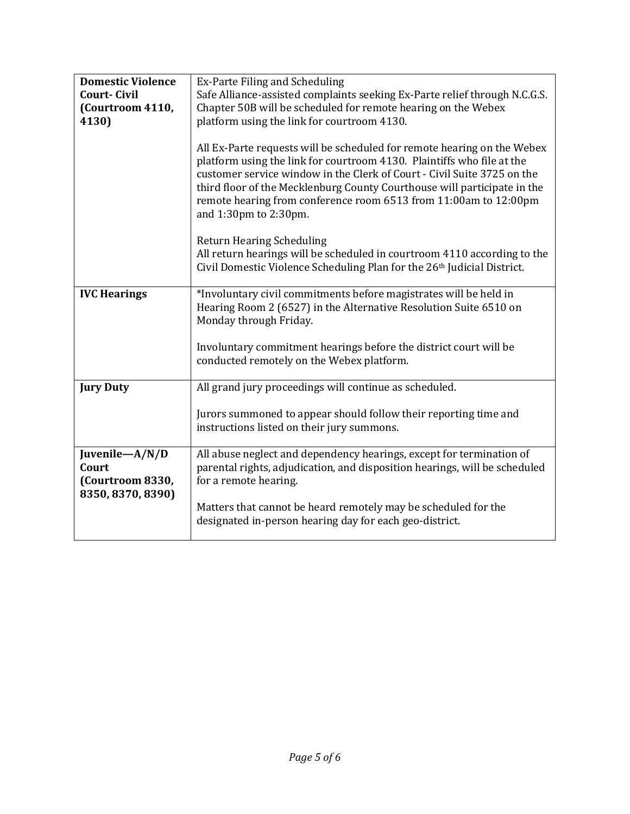| <b>Domestic Violence</b>                                         | Ex-Parte Filing and Scheduling                                                                                                                                                                                                                                                                                                                                                                        |
|------------------------------------------------------------------|-------------------------------------------------------------------------------------------------------------------------------------------------------------------------------------------------------------------------------------------------------------------------------------------------------------------------------------------------------------------------------------------------------|
| <b>Court-Civil</b>                                               | Safe Alliance-assisted complaints seeking Ex-Parte relief through N.C.G.S.                                                                                                                                                                                                                                                                                                                            |
| (Courtroom 4110,                                                 | Chapter 50B will be scheduled for remote hearing on the Webex                                                                                                                                                                                                                                                                                                                                         |
|                                                                  |                                                                                                                                                                                                                                                                                                                                                                                                       |
| 4130)                                                            | platform using the link for courtroom 4130.                                                                                                                                                                                                                                                                                                                                                           |
|                                                                  | All Ex-Parte requests will be scheduled for remote hearing on the Webex<br>platform using the link for courtroom 4130. Plaintiffs who file at the<br>customer service window in the Clerk of Court - Civil Suite 3725 on the<br>third floor of the Mecklenburg County Courthouse will participate in the<br>remote hearing from conference room 6513 from 11:00am to 12:00pm<br>and 1:30pm to 2:30pm. |
|                                                                  | <b>Return Hearing Scheduling</b><br>All return hearings will be scheduled in courtroom 4110 according to the<br>Civil Domestic Violence Scheduling Plan for the 26 <sup>th</sup> Judicial District.                                                                                                                                                                                                   |
| <b>IVC Hearings</b>                                              | *Involuntary civil commitments before magistrates will be held in<br>Hearing Room 2 (6527) in the Alternative Resolution Suite 6510 on<br>Monday through Friday.                                                                                                                                                                                                                                      |
|                                                                  | Involuntary commitment hearings before the district court will be<br>conducted remotely on the Webex platform.                                                                                                                                                                                                                                                                                        |
| <b>Jury Duty</b>                                                 | All grand jury proceedings will continue as scheduled.                                                                                                                                                                                                                                                                                                                                                |
|                                                                  | Jurors summoned to appear should follow their reporting time and<br>instructions listed on their jury summons.                                                                                                                                                                                                                                                                                        |
| Juvenile-A/N/D<br>Court<br>(Courtroom 8330,<br>8350, 8370, 8390) | All abuse neglect and dependency hearings, except for termination of<br>parental rights, adjudication, and disposition hearings, will be scheduled<br>for a remote hearing.                                                                                                                                                                                                                           |
|                                                                  | Matters that cannot be heard remotely may be scheduled for the<br>designated in-person hearing day for each geo-district.                                                                                                                                                                                                                                                                             |